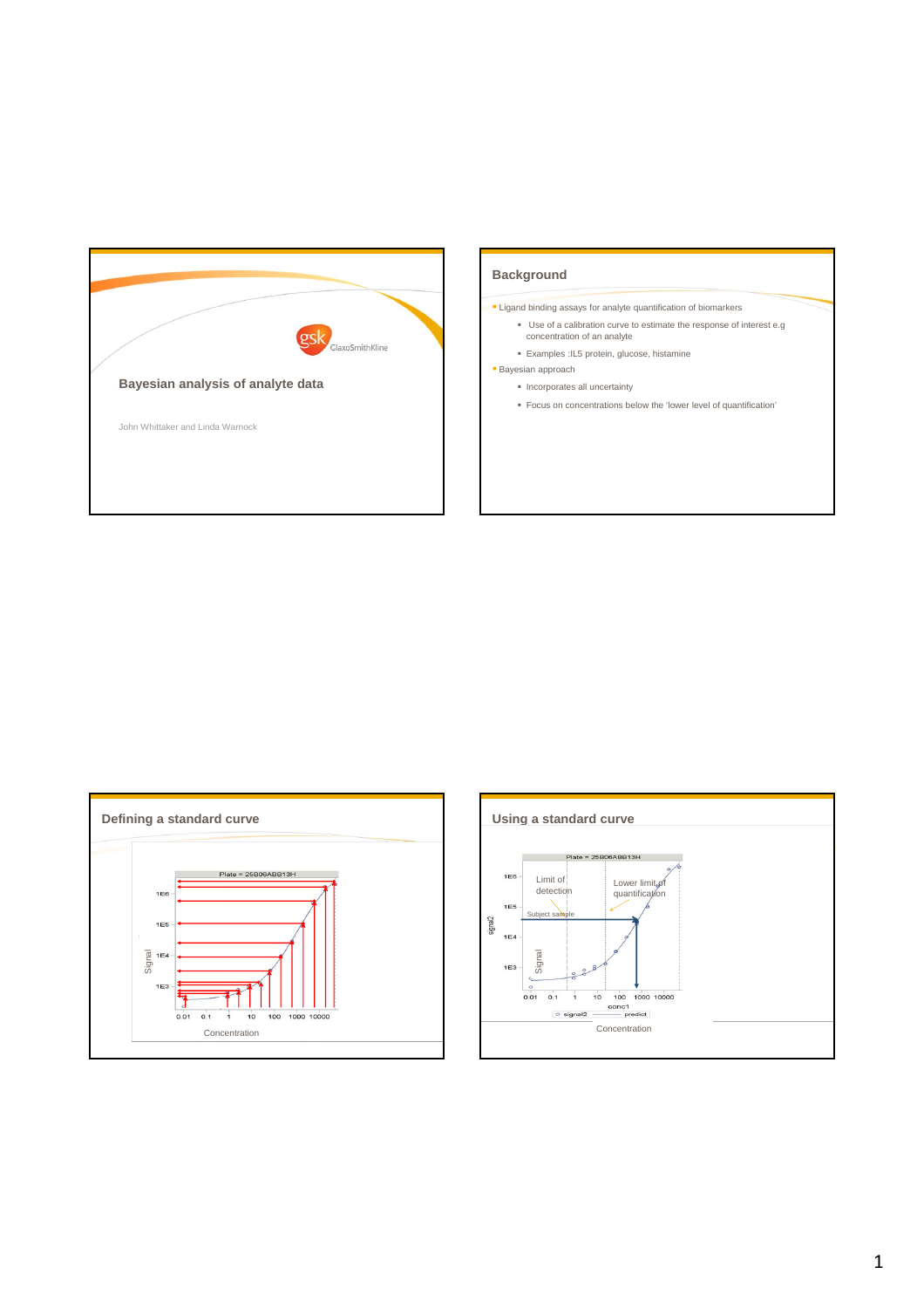





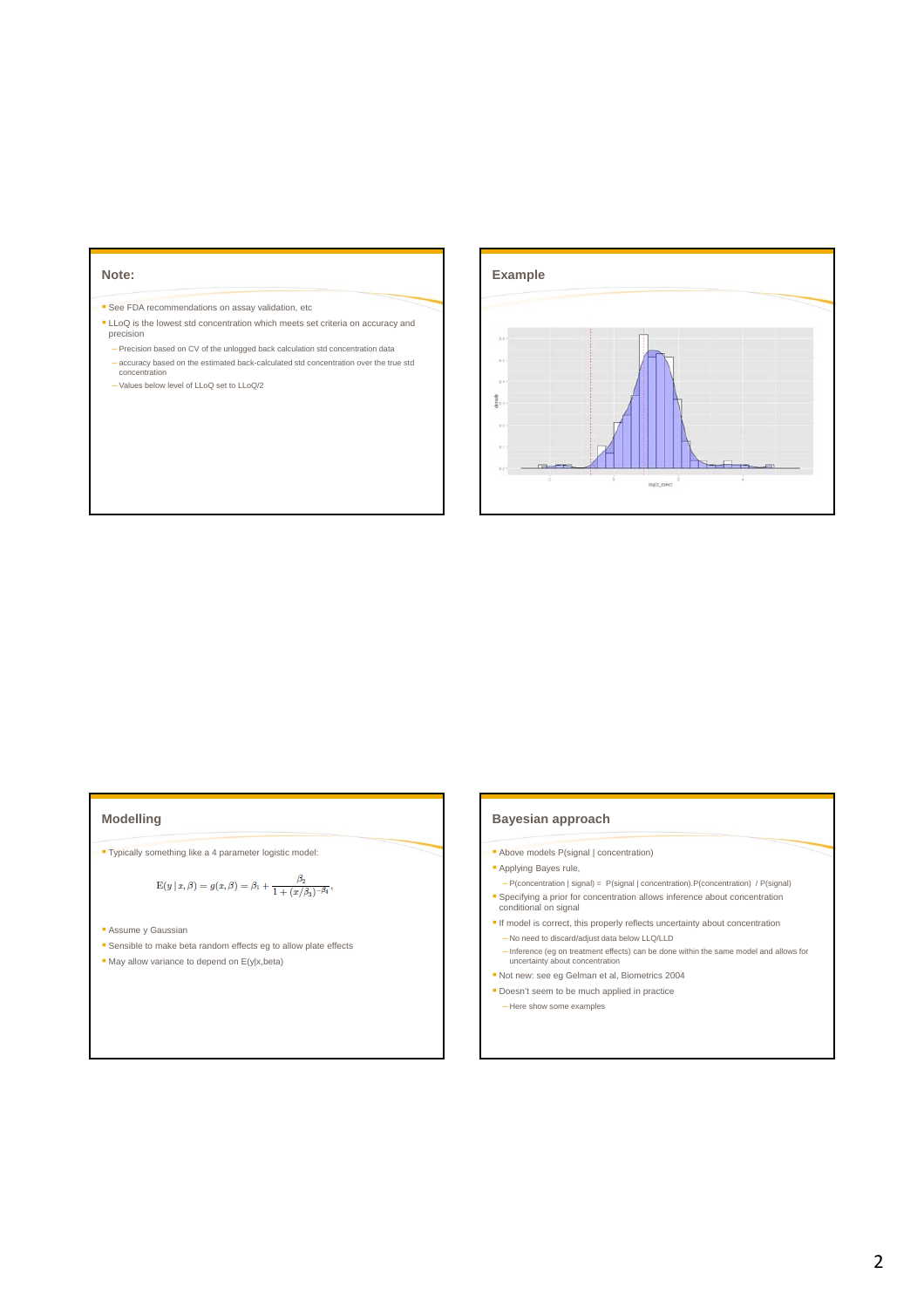## **Note:**

- <sup>■</sup> See FDA recommendations on assay validation, etc
- LLoQ is the lowest std concentration which meets set criteria on accuracy and precision
- Precision based on CV of the unlogged back calculation std concentration data – accuracy based on the estimated back-calculated std concentration over the true std concentration
- Values below level of LLoQ set to LLoQ/2



## **Modelling**

Typically something like a 4 parameter logistic model:

$$
\mathbf{E}(y\,|\,x,\beta)=g(x,\beta)=\beta_1+\frac{\beta_2}{1+(x/\beta_3)^{-\beta_4}},
$$

- **Assume y Gaussian**
- **Sensible to make beta random effects eg to allow plate effects**
- May allow variance to depend on  $E(y|x,beta)$

## **Bayesian approach**

- Above models P(signal | concentration)
- **Applying Bayes rule,**
- P(concentration | signal) = P(signal | concentration).P(concentration) / P(signal) **Specifying a prior for concentration allows inference about concentration conditional on signal**
- $\blacksquare$  If model is correct, this properly reflects uncertainty about concentration – No need to discard/adjust data below LLQ/LLD
- Inference (eg on treatment effects) can be done within the same model and allows for uncertainty about concentration
- Not new: see eg Gelman et al, Biometrics 2004 Doesn't seem to be much applied in practice
- 
- Here show some examples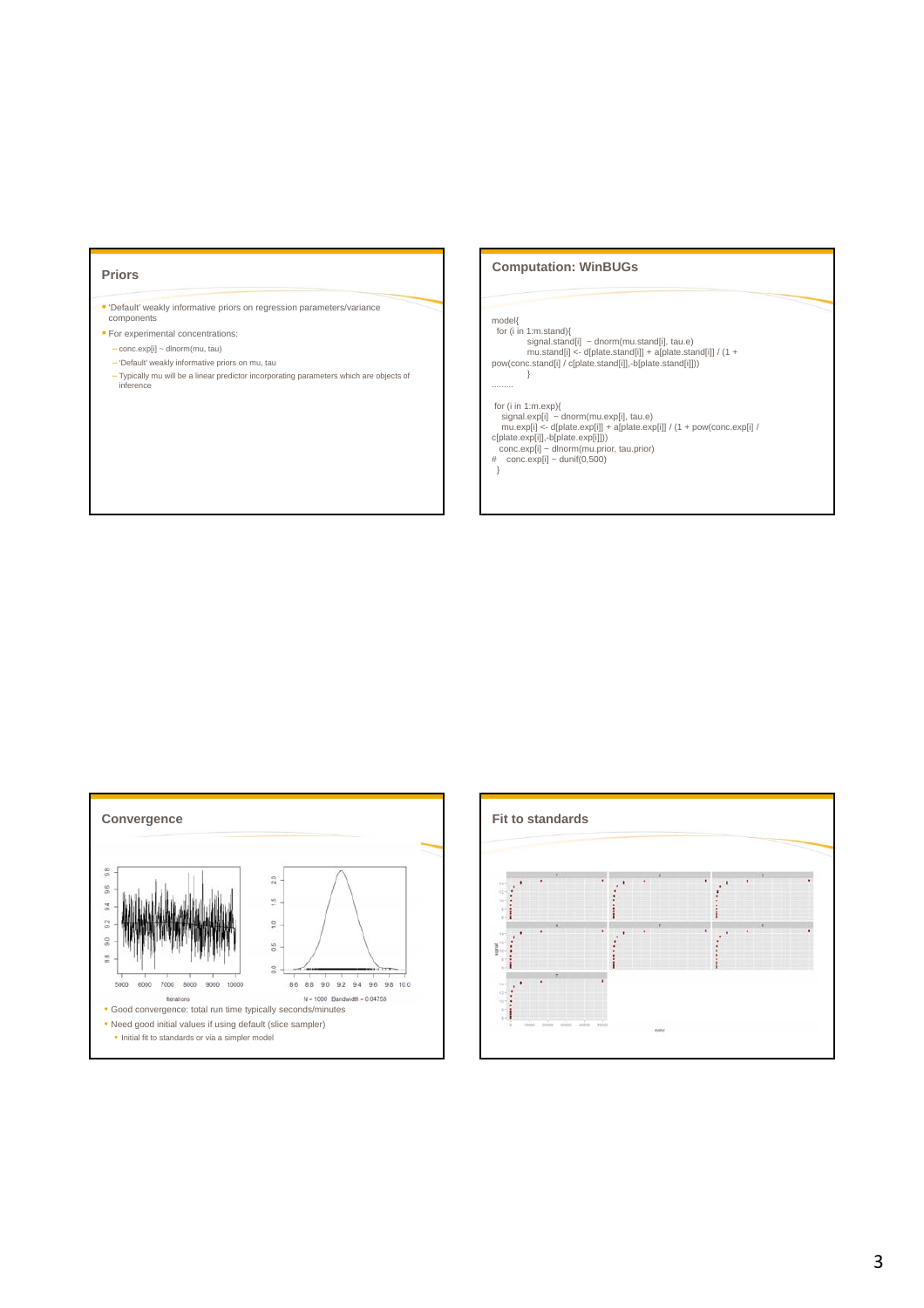#### **Priors**

 'Default' weakly informative priors on regression parameters/variance components

- **For experimental concentrations:** 
	- conc.exp[i] ~ dlnorm(mu, tau)
	- 'Default' weakly informative priors on mu, tau
- Typically mu will be a linear predictor incorporating parameters which are objects of inference

## **Computation: WinBUGs**

model{ for (i in 1:m.stand){<br>signal.stand[i] ~ dnorm(mu.stand[i], tau.e)<br>mu.stand[i] <- d[plate.stand[i]] + a[plate.stand[i]] / (1 +<br>pow(conc.stand[i] / c[plate.stand[i]],-b[plate.stand[i]])) } for (i in 1:m.exp){<br>signal.exp[i] - dnorm(mu.exp[i], tau.e)<br>mu.exp[j] - dnorm(mu.exp[i]) + a[plate.exp[i]] / (1 + pow(conc.exp[i] /<br>c[plate.exp[i]] - dlnorm(mu.prior, tau.prior)<br>conc.exp[i] - dlnorm(mu.prior, tau.prior)<br># .<br>}



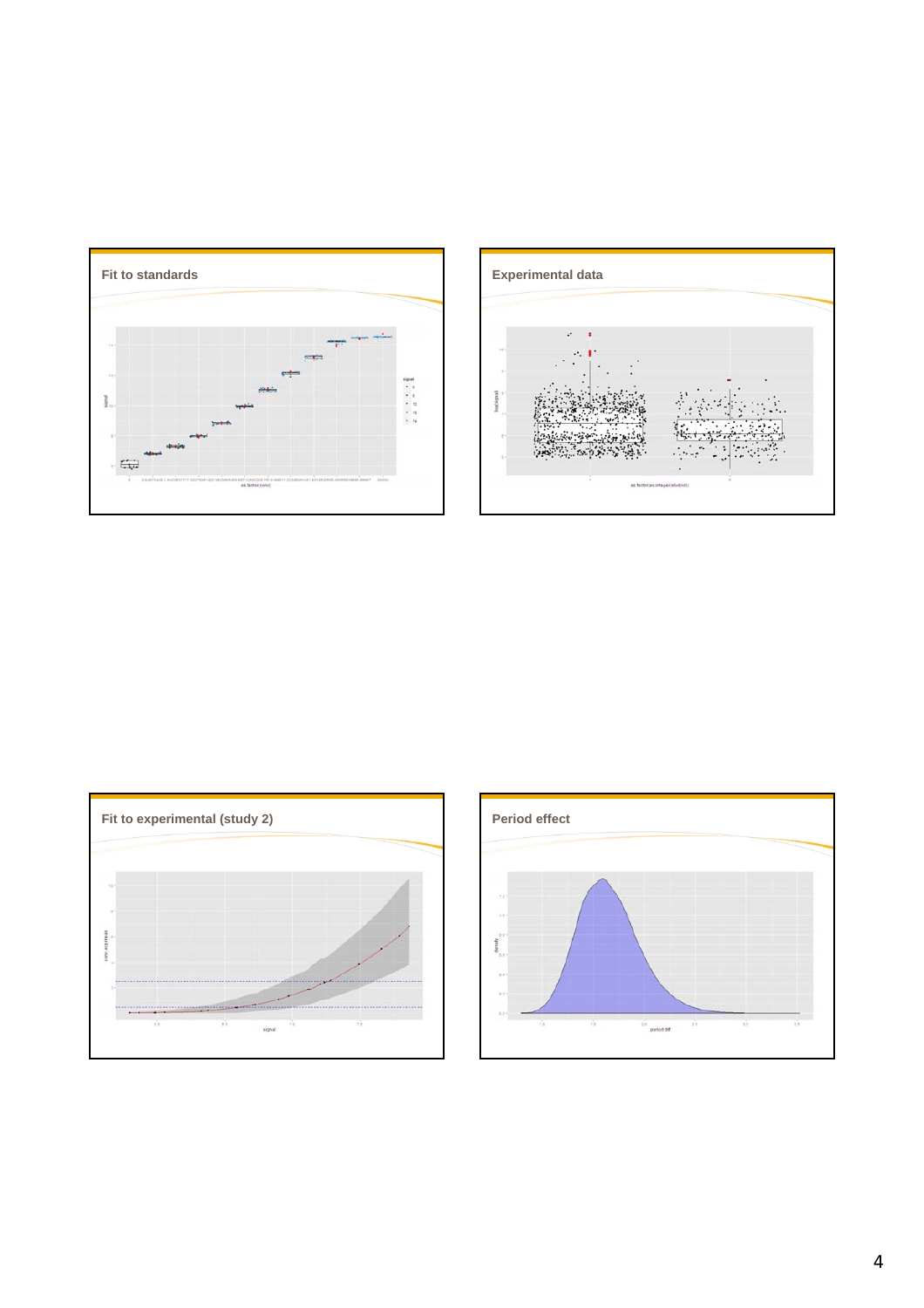





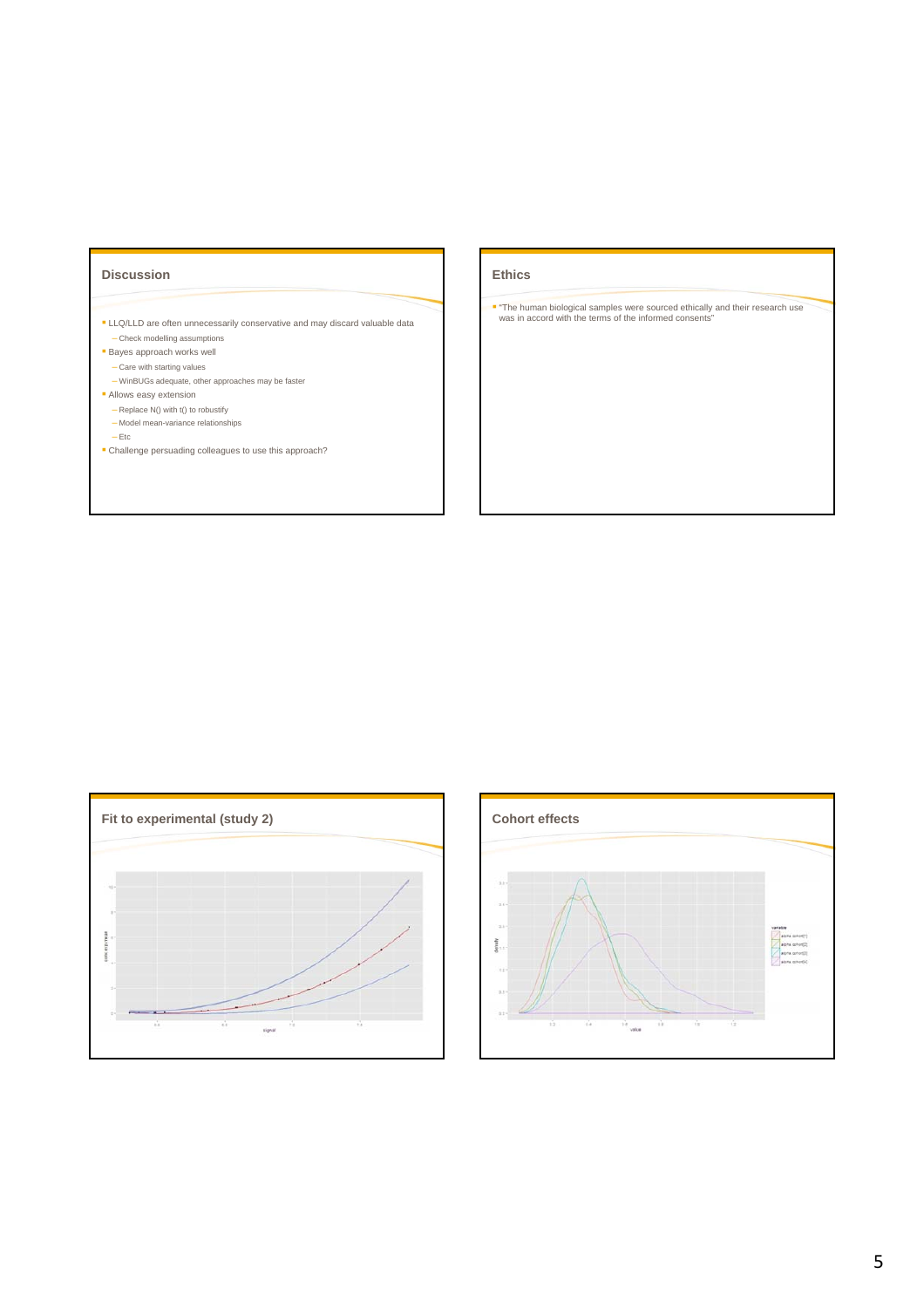## **Discussion**

- **LLQ/LLD** are often unnecessarily conservative and may discard valuable data – Check modelling assumptions
- **Bayes approach works well**
- Care with starting values
- WinBUGs adequate, other approaches may be faster Allows easy extension
- Replace N() with t() to robustify
- Model mean-variance relationships

– Etc

Challenge persuading colleagues to use this approach?

# **Ethics**

"The human biological samples were sourced ethically and their research use was in accord with the terms of the informed consents"